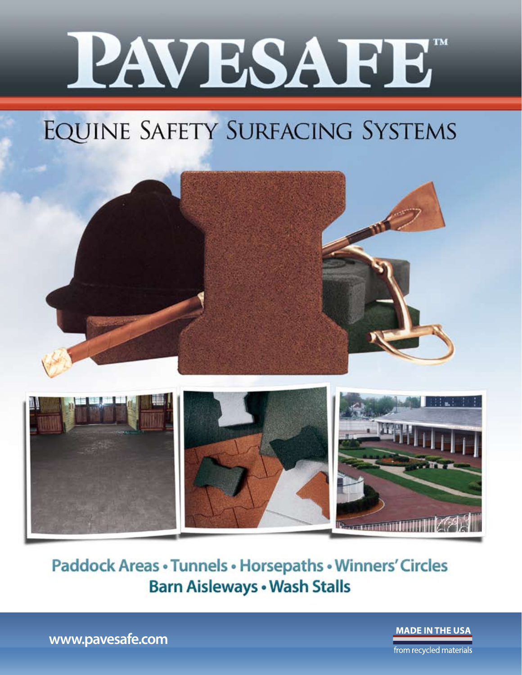

### EQUINE SAFETY SURFACING SYSTEMS



**Paddock Areas · Tunnels · Horsepaths · Winners' Circles Barn Aisleways . Wash Stalls** 

**MADE IN THE USA** 

www.pavesafe.com

from recycled materials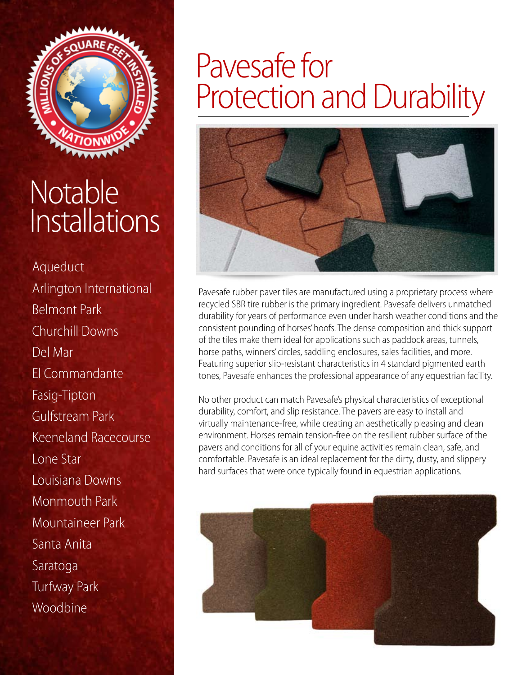

### Notable **Installations**

Aqueduct Arlington International Belmont Park Churchill Downs Del Mar El Commandante Fasig-Tipton Gulfstream Park Keeneland Racecourse Lone Star Louisiana Downs Monmouth Park Mountaineer Park Santa Anita Saratoga Turfway Park Woodbine

### Pavesafe for Protection and Durability



Pavesafe rubber paver tiles are manufactured using a proprietary process where recycled SBR tire rubber is the primary ingredient. Pavesafe delivers unmatched durability for years of performance even under harsh weather conditions and the consistent pounding of horses' hoofs. The dense composition and thick support of the tiles make them ideal for applications such as paddock areas, tunnels, horse paths, winners' circles, saddling enclosures, sales facilities, and more. Featuring superior slip-resistant characteristics in 4 standard pigmented earth tones, Pavesafe enhances the professional appearance of any equestrian facility.

No other product can match Pavesafe's physical characteristics of exceptional durability, comfort, and slip resistance. The pavers are easy to install and virtually maintenance-free, while creating an aesthetically pleasing and clean environment. Horses remain tension-free on the resilient rubber surface of the pavers and conditions for all of your equine activities remain clean, safe, and comfortable. Pavesafe is an ideal replacement for the dirty, dusty, and slippery hard surfaces that were once typically found in equestrian applications.

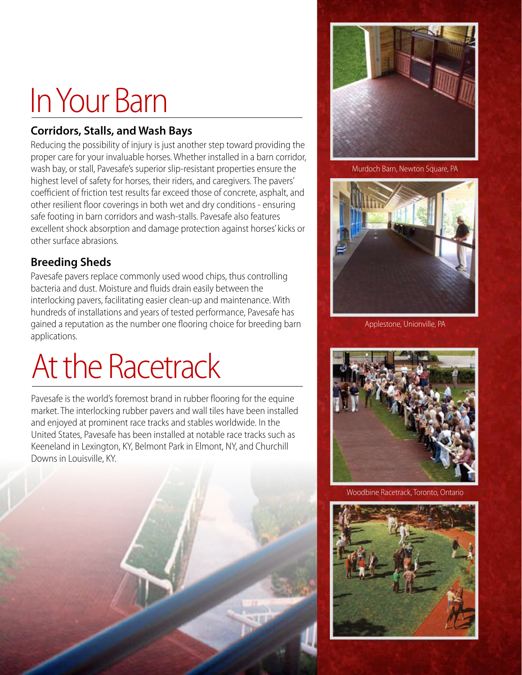# In Your Barn

#### **Corridors, Stalls, and Wash Bays**

Reducing the possibility of injury is just another step toward providing the proper care for your invaluable horses. Whether installed in a barn corridor, wash bay, or stall, Pavesafe's superior slip-resistant properties ensure the highest level of safety for horses, their riders, and caregivers. The pavers' coefficient of friction test results far exceed those of concrete, asphalt, and other resilient floor coverings in both wet and dry conditions - ensuring safe footing in barn corridors and wash-stalls. Pavesafe also features excellent shock absorption and damage protection against horses' kicks or other surface abrasions.

#### **Breeding Sheds**

Pavesafe pavers replace commonly used wood chips, thus controlling bacteria and dust. Moisture and fluids drain easily between the interlocking pavers, facilitating easier clean-up and maintenance. With hundreds of installations and years of tested performance, Pavesafe has gained a reputation as the number one flooring choice for breeding barn applications.

## At the Racetrack

Pavesafe is the world's foremost brand in rubber flooring for the equine market. The interlocking rubber pavers and wall tiles have been installed and enjoyed at prominent race tracks and stables worldwide. In the United States, Pavesafe has been installed at notable race tracks such as Keeneland in Lexington, KY, Belmont Park in Elmont, NY, and Churchill Downs in Louisville, KY.



Murdoch Barn, Newton Square, PA



Applestone, Unionville, PA



Woodbine Racetrack, Toronto, Ontario